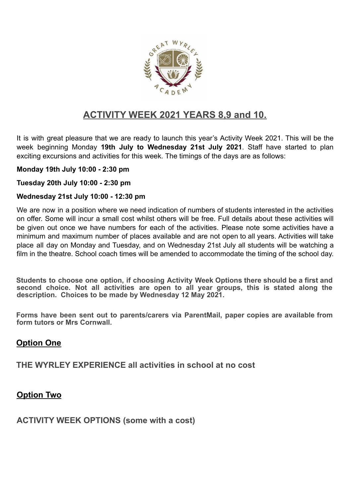

# **ACTIVITY WEEK 2021 YEARS 8,9 and 10.**

It is with great pleasure that we are ready to launch this year's Activity Week 2021. This will be the week beginning Monday **19th July to Wednesday 21st July 2021**. Staff have started to plan exciting excursions and activities for this week. The timings of the days are as follows:

#### **Monday 19th July 10:00 - 2:30 pm**

**Tuesday 20th July 10:00 - 2:30 pm**

#### **Wednesday 21st July 10:00 - 12:30 pm**

We are now in a position where we need indication of numbers of students interested in the activities on offer. Some will incur a small cost whilst others will be free. Full details about these activities will be given out once we have numbers for each of the activities. Please note some activities have a minimum and maximum number of places available and are not open to all years. Activities will take place all day on Monday and Tuesday, and on Wednesday 21st July all students will be watching a film in the theatre. School coach times will be amended to accommodate the timing of the school day.

**Students to choose one option, if choosing Activity Week Options there should be a first and second choice. Not all activities are open to all year groups, this is stated along the description. Choices to be made by Wednesday 12 May 2021.**

**Forms have been sent out to parents/carers via ParentMail, paper copies are available from form tutors or Mrs Cornwall.**

## **Option One**

**THE WYRLEY EXPERIENCE all activities in school at no cost**

## **Option Two**

**ACTIVITY WEEK OPTIONS (some with a cost)**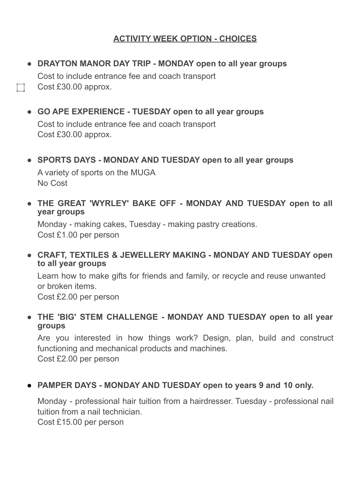## **ACTIVITY WEEK OPTION - CHOICES**

- **● DRAYTON MANOR DAY TRIP - MONDAY open to all year groups** Cost to include entrance fee and coach transport Cost £30.00 approx.
- **● GO APE EXPERIENCE - TUESDAY open to all year groups**

Cost to include entrance fee and coach transport Cost £30.00 approx.

**● SPORTS DAYS - MONDAY AND TUESDAY open to all year groups**

A variety of sports on the MUGA No Cost

**● THE GREAT 'WYRLEY' BAKE OFF - MONDAY AND TUESDAY open to all year groups**

Monday - making cakes, Tuesday - making pastry creations. Cost £1.00 per person

**● CRAFT, TEXTILES & JEWELLERY MAKING - MONDAY AND TUESDAY open to all year groups**

Learn how to make gifts for friends and family, or recycle and reuse unwanted or broken items.

Cost £2.00 per person

**● THE 'BIG' STEM CHALLENGE - MONDAY AND TUESDAY open to all year groups**

Are you interested in how things work? Design, plan, build and construct functioning and mechanical products and machines. Cost £2.00 per person

## ● **PAMPER DAYS - MONDAY AND TUESDAY open to years 9 and 10 only.**

Monday - professional hair tuition from a hairdresser. Tuesday - professional nail tuition from a nail technician.

Cost £15.00 per person